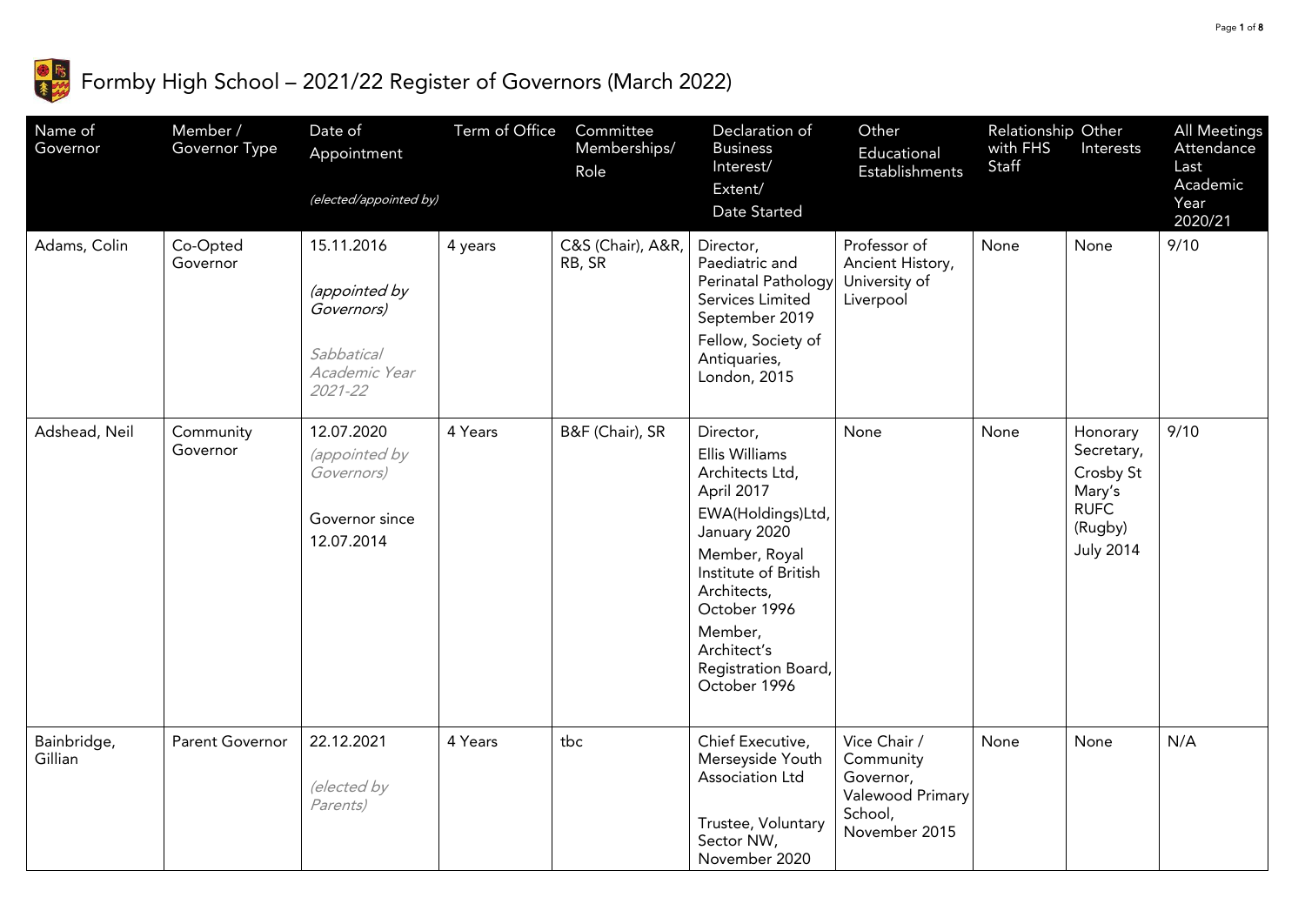

## $\frac{1}{3}$  Formby High School – 2021/22 Register of Governors (March 2022)

| Name of<br>Governor    | Member /<br>Governor Type | Date of<br>Appointment<br>(elected/appointed by)                                           | Term of Office | Committee<br>Memberships/<br>Role | Declaration of<br><b>Business</b><br>Interest/<br>Extent/<br>Date Started                                                                                                                                                                  | Other<br>Educational<br>Establishments                                                 | Relationship Other<br>with FHS<br>Staff | Interests                                                                                   | All Meetings<br>Attendance<br>Last<br>Academic<br>Year<br>2020/21 |
|------------------------|---------------------------|--------------------------------------------------------------------------------------------|----------------|-----------------------------------|--------------------------------------------------------------------------------------------------------------------------------------------------------------------------------------------------------------------------------------------|----------------------------------------------------------------------------------------|-----------------------------------------|---------------------------------------------------------------------------------------------|-------------------------------------------------------------------|
| Adams, Colin           | Co-Opted<br>Governor      | 15.11.2016<br>(appointed by<br>Governors)<br><b>Sabbatical</b><br>Academic Year<br>2021-22 | 4 years        | C&S (Chair), A&R,<br>RB, SR       | Director,<br>Paediatric and<br>Perinatal Pathology<br>Services Limited<br>September 2019<br>Fellow, Society of<br>Antiquaries,<br>London, 2015                                                                                             | Professor of<br>Ancient History,<br>University of<br>Liverpool                         | None                                    | None                                                                                        | 9/10                                                              |
| Adshead, Neil          | Community<br>Governor     | 12.07.2020<br>(appointed by<br>Governors)<br>Governor since<br>12.07.2014                  | 4 Years        | B&F (Chair), SR                   | Director,<br>Ellis Williams<br>Architects Ltd,<br>April 2017<br>EWA(Holdings)Ltd,<br>January 2020<br>Member, Royal<br>Institute of British<br>Architects,<br>October 1996<br>Member,<br>Architect's<br>Registration Board,<br>October 1996 | None                                                                                   | None                                    | Honorary<br>Secretary,<br>Crosby St<br>Mary's<br><b>RUFC</b><br>(Rugby)<br><b>July 2014</b> | 9/10                                                              |
| Bainbridge,<br>Gillian | Parent Governor           | 22.12.2021<br>(elected by<br>Parents)                                                      | 4 Years        | tbc                               | Chief Executive,<br>Merseyside Youth<br>Association Ltd<br>Trustee, Voluntary<br>Sector NW,<br>November 2020                                                                                                                               | Vice Chair /<br>Community<br>Governor,<br>Valewood Primary<br>School,<br>November 2015 | None                                    | None                                                                                        | N/A                                                               |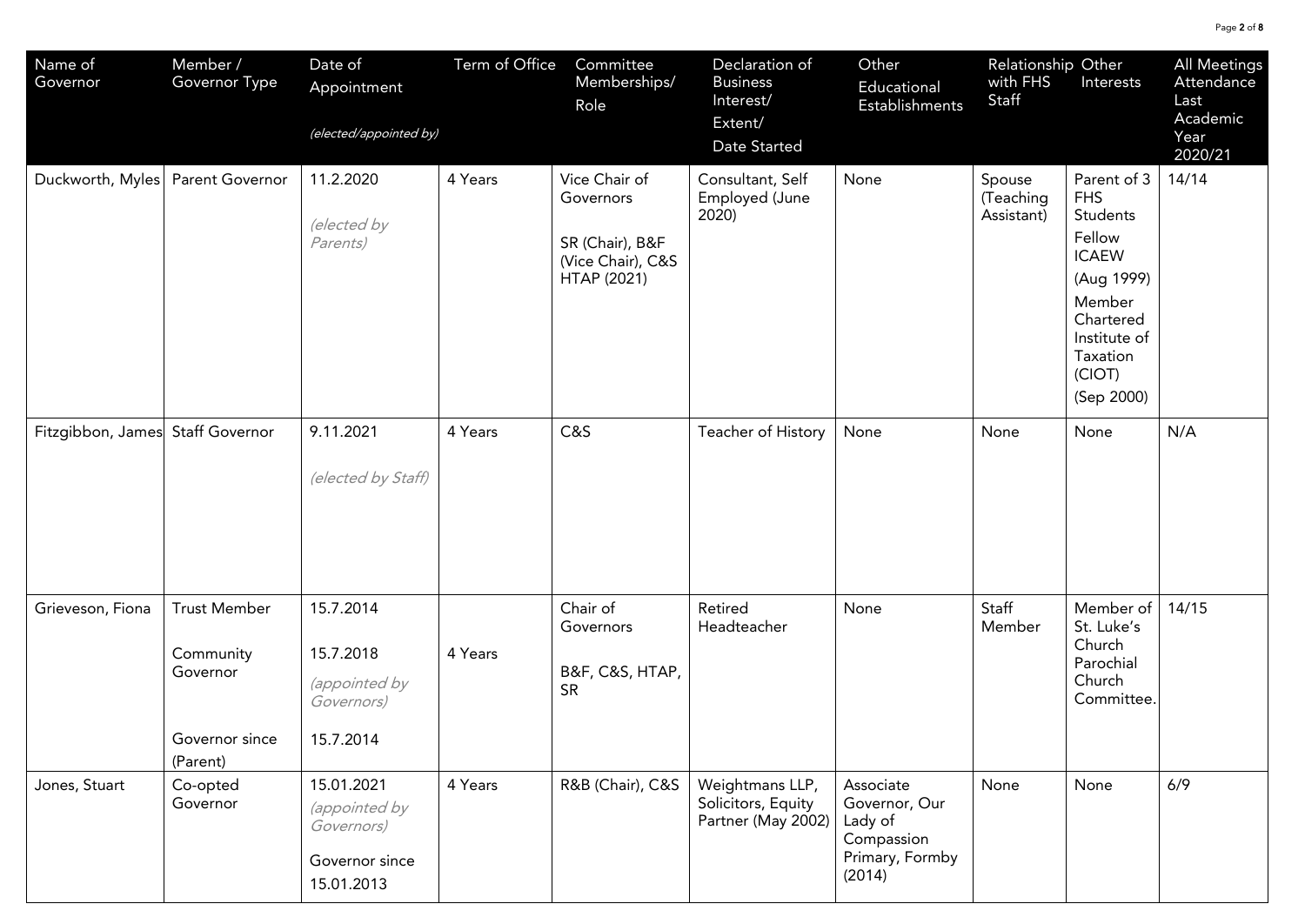| Name of<br>Governor | Member /<br>Governor Type                                                  | Date of<br>Appointment<br>(elected/appointed by)                          | Term of Office | Committee<br>Memberships/<br>Role                                                 | Declaration of<br><b>Business</b><br>Interest/<br>Extent/<br>Date Started | Other<br>Educational<br><b>Establishments</b>                                    | Relationship Other<br>with FHS<br>Staff | Interests                                                                                                                                                | All Meetings<br>Attendance<br>Last<br>Academic<br>Year<br>2020/21 |
|---------------------|----------------------------------------------------------------------------|---------------------------------------------------------------------------|----------------|-----------------------------------------------------------------------------------|---------------------------------------------------------------------------|----------------------------------------------------------------------------------|-----------------------------------------|----------------------------------------------------------------------------------------------------------------------------------------------------------|-------------------------------------------------------------------|
| Duckworth, Myles    | Parent Governor                                                            | 11.2.2020<br>(elected by<br>Parents)                                      | 4 Years        | Vice Chair of<br>Governors<br>SR (Chair), B&F<br>(Vice Chair), C&S<br>HTAP (2021) | Consultant, Self<br>Employed (June<br>2020)                               | None                                                                             | Spouse<br>(Teaching<br>Assistant)       | Parent of 3<br><b>FHS</b><br>Students<br>Fellow<br><b>ICAEW</b><br>(Aug 1999)<br>Member<br>Chartered<br>Institute of<br>Taxation<br>(CIOT)<br>(Sep 2000) | 14/14                                                             |
| Fitzgibbon, James   | <b>Staff Governor</b>                                                      | 9.11.2021<br>(elected by Staff)                                           | 4 Years        | C&S                                                                               | Teacher of History                                                        | None                                                                             | None                                    | None                                                                                                                                                     | N/A                                                               |
| Grieveson, Fiona    | <b>Trust Member</b><br>Community<br>Governor<br>Governor since<br>(Parent) | 15.7.2014<br>15.7.2018<br>(appointed by<br>Governors)<br>15.7.2014        | 4 Years        | Chair of<br>Governors<br>B&F, C&S, HTAP,<br><b>SR</b>                             | Retired<br>Headteacher                                                    | None                                                                             | Staff<br>Member                         | Member of<br>St. Luke's<br>Church<br>Parochial<br>Church<br>Committee.                                                                                   | 14/15                                                             |
| Jones, Stuart       | Co-opted<br>Governor                                                       | 15.01.2021<br>(appointed by<br>Governors)<br>Governor since<br>15.01.2013 | 4 Years        | R&B (Chair), C&S                                                                  | Weightmans LLP,<br>Solicitors, Equity<br>Partner (May 2002)               | Associate<br>Governor, Our<br>Lady of<br>Compassion<br>Primary, Formby<br>(2014) | None                                    | None                                                                                                                                                     | 6/9                                                               |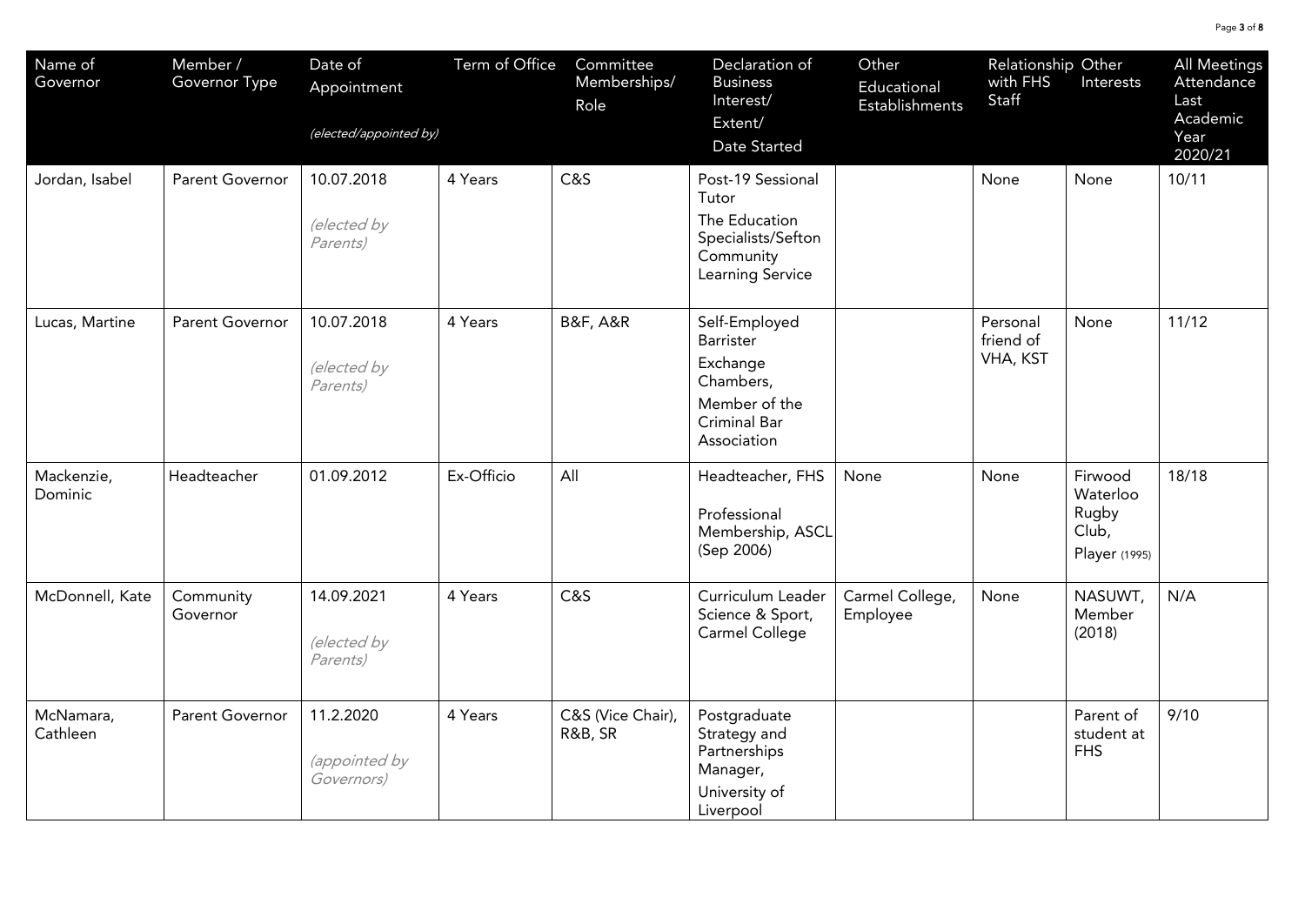| Name of<br>Governor   | Member /<br>Governor Type | Date of<br>Appointment<br>(elected/appointed by) | Term of Office | Committee<br>Memberships/<br>Role | Declaration of<br><b>Business</b><br>Interest/<br>Extent/<br>Date Started                           | Other<br>Educational<br>Establishments | Relationship Other<br>with FHS<br>Staff | Interests                                              | All Meetings<br>Attendance<br>Last<br>Academic<br>Year<br>2020/21 |
|-----------------------|---------------------------|--------------------------------------------------|----------------|-----------------------------------|-----------------------------------------------------------------------------------------------------|----------------------------------------|-----------------------------------------|--------------------------------------------------------|-------------------------------------------------------------------|
| Jordan, Isabel        | Parent Governor           | 10.07.2018<br>(elected by<br>Parents)            | 4 Years        | C&S                               | Post-19 Sessional<br>Tutor<br>The Education<br>Specialists/Sefton<br>Community<br>Learning Service  |                                        | None                                    | None                                                   | 10/11                                                             |
| Lucas, Martine        | Parent Governor           | 10.07.2018<br>(elected by<br>Parents)            | 4 Years        | <b>B&amp;F, A&amp;R</b>           | Self-Employed<br>Barrister<br>Exchange<br>Chambers,<br>Member of the<br>Criminal Bar<br>Association |                                        | Personal<br>friend of<br>VHA, KST       | None                                                   | 11/12                                                             |
| Mackenzie,<br>Dominic | Headteacher               | 01.09.2012                                       | Ex-Officio     | All                               | Headteacher, FHS<br>Professional<br>Membership, ASCL<br>(Sep 2006)                                  | None                                   | None                                    | Firwood<br>Waterloo<br>Rugby<br>Club,<br>Player (1995) | 18/18                                                             |
| McDonnell, Kate       | Community<br>Governor     | 14.09.2021<br>(elected by<br>Parents)            | 4 Years        | C&S                               | Curriculum Leader<br>Science & Sport,<br>Carmel College                                             | Carmel College,<br>Employee            | None                                    | NASUWT,<br>Member<br>(2018)                            | N/A                                                               |
| McNamara,<br>Cathleen | Parent Governor           | 11.2.2020<br>(appointed by<br>Governors)         | 4 Years        | C&S (Vice Chair),<br>R&B, SR      | Postgraduate<br>Strategy and<br>Partnerships<br>Manager,<br>University of<br>Liverpool              |                                        |                                         | Parent of<br>student at<br><b>FHS</b>                  | 9/10                                                              |

Page 3 of 8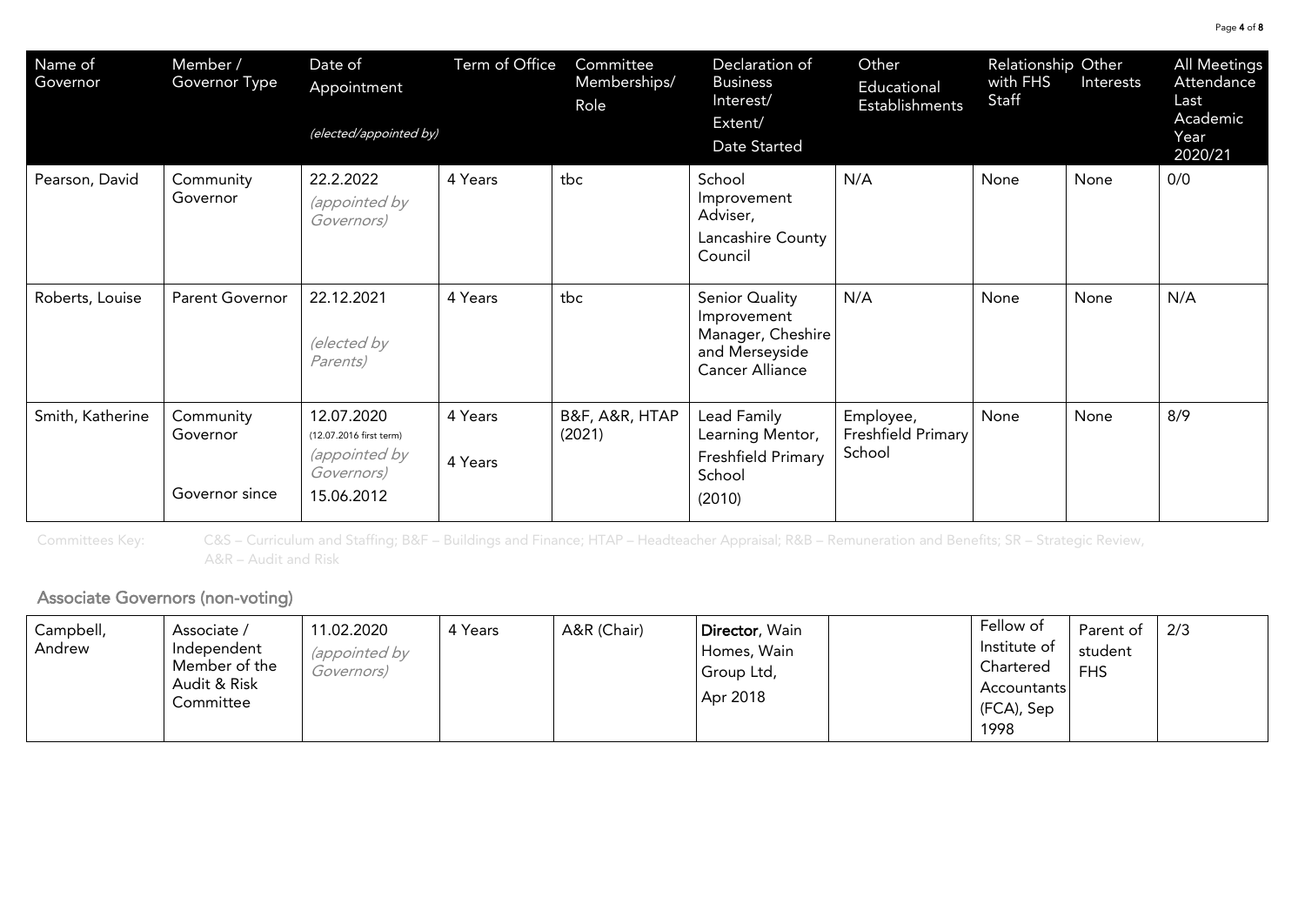| Name of<br>Governor | Member /<br>Governor Type               | Date of<br>Appointment<br>(elected/appointed by)                                          | Term of Office     | Committee<br>Memberships/<br>Role | Declaration of<br><b>Business</b><br>Interest/<br>Extent/<br>Date Started                      | Other<br>Educational<br>Establishments    | Relationship Other<br>with FHS<br>Staff | Interests | All Meetings<br>Attendance<br>Last<br>Academic<br>Year<br>2020/21 |
|---------------------|-----------------------------------------|-------------------------------------------------------------------------------------------|--------------------|-----------------------------------|------------------------------------------------------------------------------------------------|-------------------------------------------|-----------------------------------------|-----------|-------------------------------------------------------------------|
| Pearson, David      | Community<br>Governor                   | 22.2.2022<br><i>(appointed by</i><br>Governors)                                           | 4 Years            | tbc                               | School<br>Improvement<br>Adviser,<br>Lancashire County<br>Council                              | N/A                                       | None                                    | None      | 0/0                                                               |
| Roberts, Louise     | <b>Parent Governor</b>                  | 22.12.2021<br>(elected by<br>Parents)                                                     | 4 Years            | tbc                               | Senior Quality<br>Improvement<br>Manager, Cheshire<br>and Merseyside<br><b>Cancer Alliance</b> | N/A                                       | None                                    | None      | N/A                                                               |
| Smith, Katherine    | Community<br>Governor<br>Governor since | 12.07.2020<br>(12.07.2016 first term)<br><i>(appointed by</i><br>Governors)<br>15.06.2012 | 4 Years<br>4 Years | B&F, A&R, HTAP<br>(2021)          | Lead Family<br>Learning Mentor,<br>Freshfield Primary<br>School<br>(2010)                      | Employee,<br>Freshfield Primary<br>School | None                                    | None      | 8/9                                                               |

Committees Key: C&S – Curriculum and Staffing; B&F – Buildings and Finance; HTAP – Headteacher Appraisal; R&B – Remuneration and Benefits; SR – Strategic Review, A&R – Audit and Risk

## j

| Campbell,<br>Andrew | Associate /<br>Independent<br>Member of the<br>Audit & Risk<br>Committee | 11.02.2020<br><i>(appointed by</i><br>Governors) | 4 Years | A&R (Chair) | Director, Wain<br>Homes, Wain<br>Group Ltd,<br>Apr 2018 | Fellow of<br>Institute of<br>Chartered<br>Accountants<br>(FCA), Sep<br>1998 | Parent of<br>student<br><b>FHS</b> | 2/3 |
|---------------------|--------------------------------------------------------------------------|--------------------------------------------------|---------|-------------|---------------------------------------------------------|-----------------------------------------------------------------------------|------------------------------------|-----|
|---------------------|--------------------------------------------------------------------------|--------------------------------------------------|---------|-------------|---------------------------------------------------------|-----------------------------------------------------------------------------|------------------------------------|-----|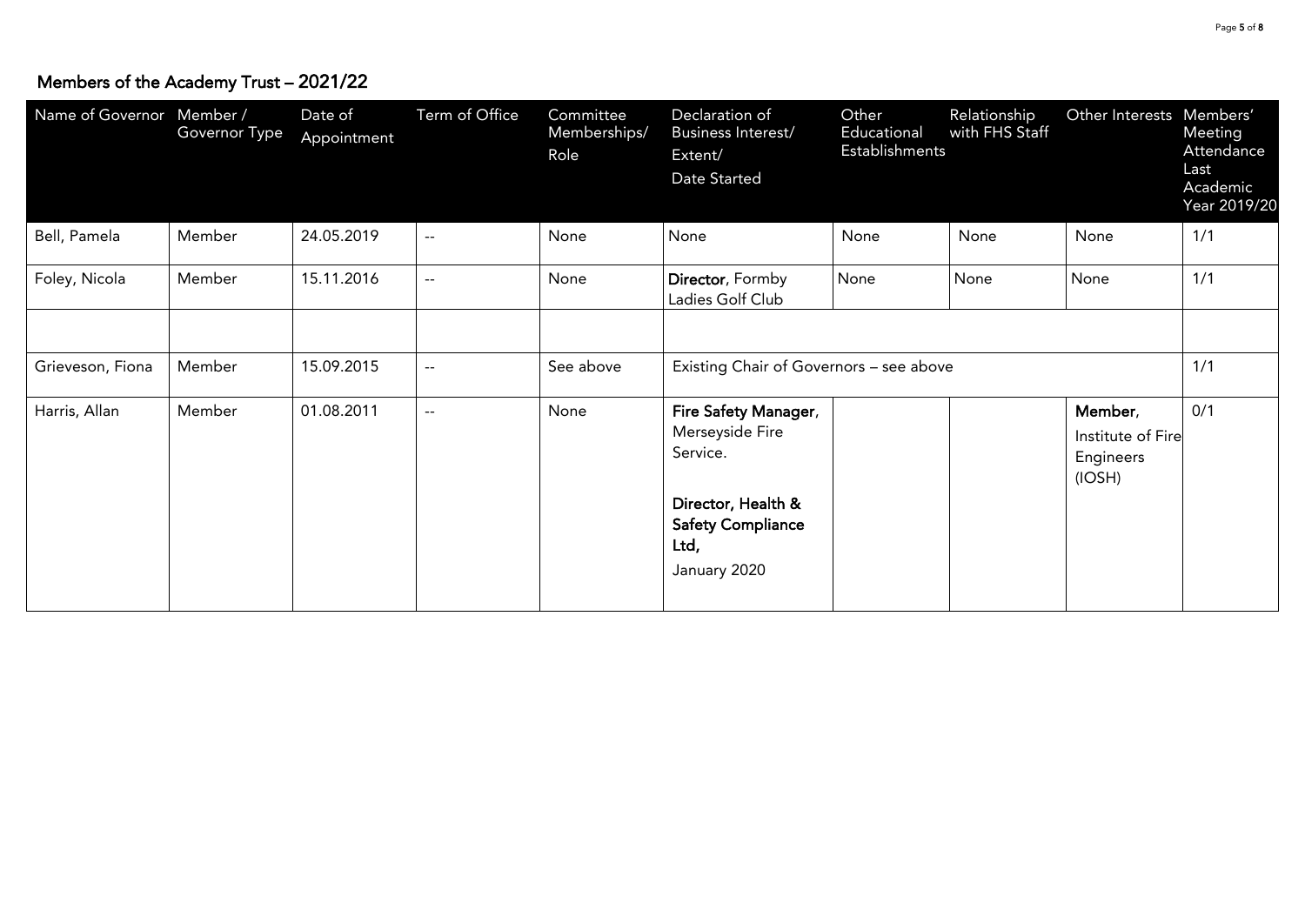| Name of Governor Member / | Governor Type | Date of<br>Appointment | Term of Office           | Committee<br>Memberships/<br>Role | Declaration of<br>Business Interest/<br>Extent/<br>Date Started                                                               | Other<br>Educational<br>Establishments | Relationship<br>with FHS Staff | Other Interests Members'                            | Meeting<br>Attendance<br>Last<br>Academic<br>Year 2019/20 |
|---------------------------|---------------|------------------------|--------------------------|-----------------------------------|-------------------------------------------------------------------------------------------------------------------------------|----------------------------------------|--------------------------------|-----------------------------------------------------|-----------------------------------------------------------|
| Bell, Pamela              | Member        | 24.05.2019             | $\overline{\phantom{a}}$ | None                              | None                                                                                                                          | None                                   | None                           | None                                                | 1/1                                                       |
| Foley, Nicola             | Member        | 15.11.2016             | $\overline{\phantom{m}}$ | None                              | Director, Formby<br>Ladies Golf Club                                                                                          | None                                   | None                           | None                                                | 1/1                                                       |
|                           |               |                        |                          |                                   |                                                                                                                               |                                        |                                |                                                     |                                                           |
| Grieveson, Fiona          | Member        | 15.09.2015             | $\frac{1}{2}$            | See above                         | 1/1<br>Existing Chair of Governors - see above                                                                                |                                        |                                |                                                     |                                                           |
| Harris, Allan             | Member        | 01.08.2011             | $\overline{a}$           | None                              | Fire Safety Manager,<br>Merseyside Fire<br>Service.<br>Director, Health &<br><b>Safety Compliance</b><br>Ltd,<br>January 2020 |                                        |                                | Member,<br>Institute of Fire<br>Engineers<br>(IOSH) | 0/1                                                       |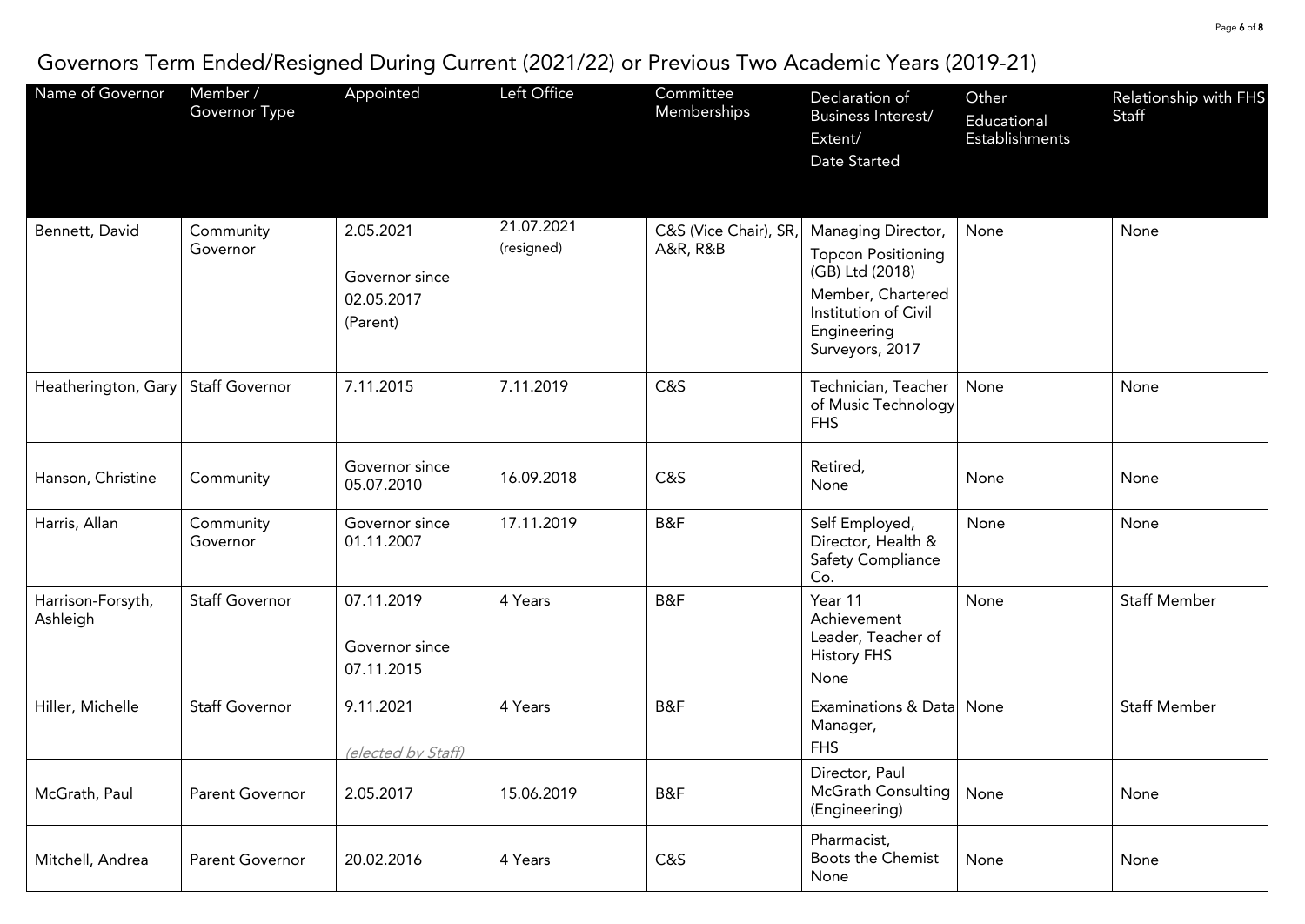## Governors Term Ended/Resigned During Current (2021/22) or Previous Two Academic Years (2019-21)

| Name of Governor              | Member /<br>Governor Type | Appointed                                             | Left Office              | Committee<br>Memberships          | Declaration of<br>Business Interest/<br>Extent/<br>Date Started                                                                                   | Other<br>Educational<br><b>Establishments</b> | Relationship with FHS<br>Staff |
|-------------------------------|---------------------------|-------------------------------------------------------|--------------------------|-----------------------------------|---------------------------------------------------------------------------------------------------------------------------------------------------|-----------------------------------------------|--------------------------------|
| Bennett, David                | Community<br>Governor     | 2.05.2021<br>Governor since<br>02.05.2017<br>(Parent) | 21.07.2021<br>(resigned) | C&S (Vice Chair), SR,<br>A&R, R&B | Managing Director,<br><b>Topcon Positioning</b><br>(GB) Ltd (2018)<br>Member, Chartered<br>Institution of Civil<br>Engineering<br>Surveyors, 2017 | None                                          | None                           |
| Heatherington, Gary           | <b>Staff Governor</b>     | 7.11.2015                                             | 7.11.2019                | C&S                               | Technician, Teacher<br>of Music Technology<br><b>FHS</b>                                                                                          | None                                          | None                           |
| Hanson, Christine             | Community                 | Governor since<br>05.07.2010                          | 16.09.2018               | C&S                               | Retired,<br>None                                                                                                                                  | None                                          | None                           |
| Harris, Allan                 | Community<br>Governor     | Governor since<br>01.11.2007                          | 17.11.2019               | B&F                               | Self Employed,<br>Director, Health &<br><b>Safety Compliance</b><br>Co.                                                                           | None                                          | None                           |
| Harrison-Forsyth,<br>Ashleigh | <b>Staff Governor</b>     | 07.11.2019<br>Governor since<br>07.11.2015            | 4 Years                  | B&F                               | Year 11<br>Achievement<br>Leader, Teacher of<br><b>History FHS</b><br>None                                                                        | None                                          | <b>Staff Member</b>            |
| Hiller, Michelle              | <b>Staff Governor</b>     | 9.11.2021<br>(elected by Staff)                       | 4 Years                  | B&F                               | Examinations & Data<br>Manager,<br><b>FHS</b>                                                                                                     | None                                          | <b>Staff Member</b>            |
| McGrath, Paul                 | Parent Governor           | 2.05.2017                                             | 15.06.2019               | B&F                               | Director, Paul<br>McGrath Consulting<br>(Engineering)                                                                                             | None                                          | None                           |
| Mitchell, Andrea              | <b>Parent Governor</b>    | 20.02.2016                                            | 4 Years                  | C&S                               | Pharmacist,<br><b>Boots the Chemist</b><br>None                                                                                                   | None                                          | None                           |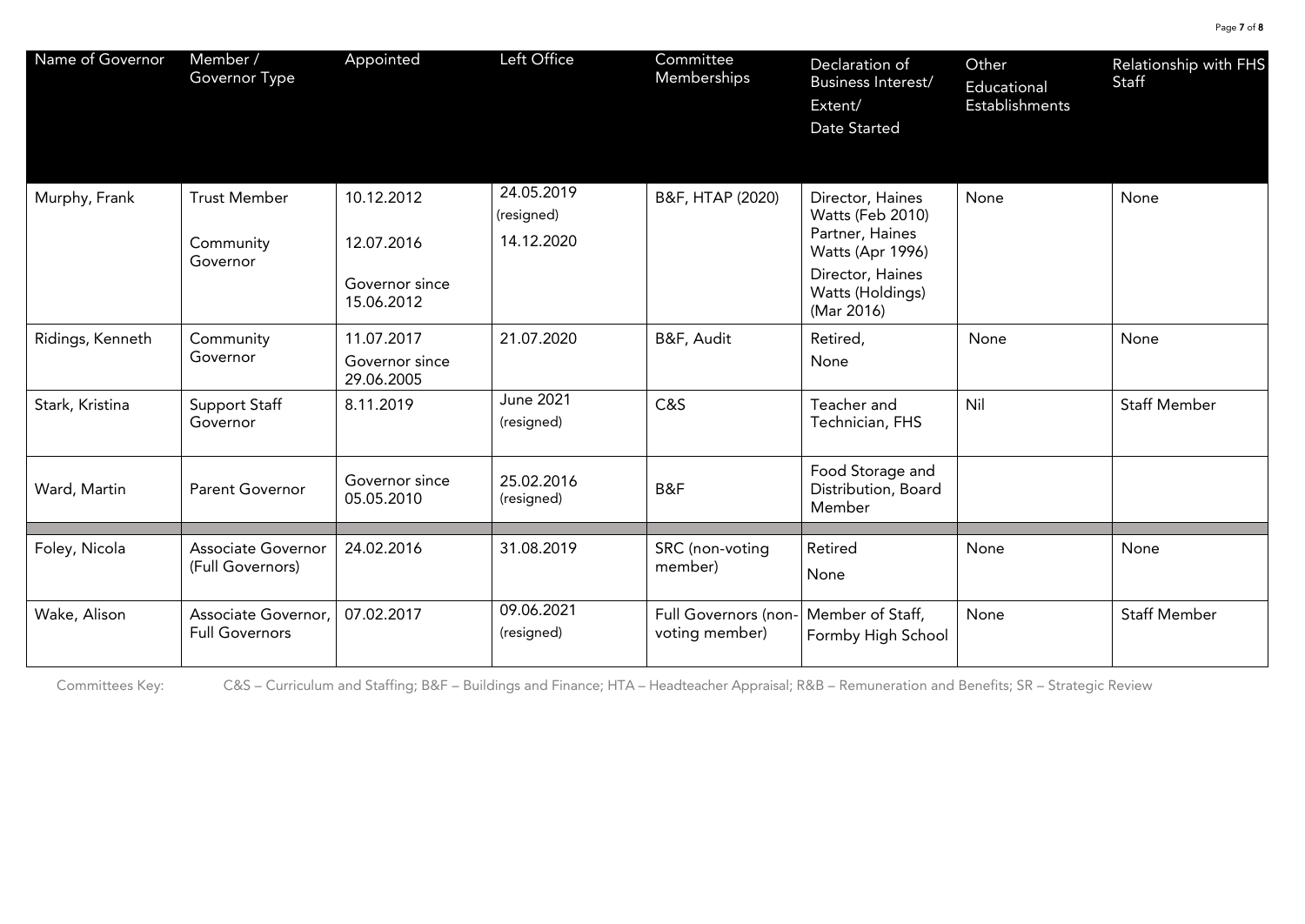| Name of Governor | Member /<br>Governor Type                     | Appointed                                                | Left Office                            | Committee<br>Memberships               | Declaration of<br>Business Interest/<br>Extent/<br>Date Started                                                                   | Other<br>Educational<br>Establishments | Relationship with FHS<br>Staff |
|------------------|-----------------------------------------------|----------------------------------------------------------|----------------------------------------|----------------------------------------|-----------------------------------------------------------------------------------------------------------------------------------|----------------------------------------|--------------------------------|
| Murphy, Frank    | <b>Trust Member</b><br>Community<br>Governor  | 10.12.2012<br>12.07.2016<br>Governor since<br>15.06.2012 | 24.05.2019<br>(resigned)<br>14.12.2020 | B&F, HTAP (2020)                       | Director, Haines<br>Watts (Feb 2010)<br>Partner, Haines<br>Watts (Apr 1996)<br>Director, Haines<br>Watts (Holdings)<br>(Mar 2016) | None                                   | None                           |
| Ridings, Kenneth | Community<br>Governor                         | 11.07.2017<br>Governor since<br>29.06.2005               | 21.07.2020                             | B&F, Audit                             | Retired,<br>None                                                                                                                  | None                                   | None                           |
| Stark, Kristina  | <b>Support Staff</b><br>Governor              | 8.11.2019                                                | <b>June 2021</b><br>(resigned)         | C&S                                    | Teacher and<br>Technician, FHS                                                                                                    | Nil                                    | <b>Staff Member</b>            |
| Ward, Martin     | <b>Parent Governor</b>                        | Governor since<br>05.05.2010                             | 25.02.2016<br>(resigned)               | B&F                                    | Food Storage and<br>Distribution, Board<br>Member                                                                                 |                                        |                                |
| Foley, Nicola    | <b>Associate Governor</b><br>(Full Governors) | 24.02.2016                                               | 31.08.2019                             | SRC (non-voting<br>member)             | Retired<br>None                                                                                                                   | None                                   | None                           |
| Wake, Alison     | Associate Governor,<br><b>Full Governors</b>  | 07.02.2017                                               | 09.06.2021<br>(resigned)               | Full Governors (non-<br>voting member) | Member of Staff,<br>Formby High School                                                                                            | None                                   | <b>Staff Member</b>            |

Committees Key: C&S – Curriculum and Staffing; B&F – Buildings and Finance; HTA – Headteacher Appraisal; R&B – Remuneration and Benefits; SR – Strategic Review